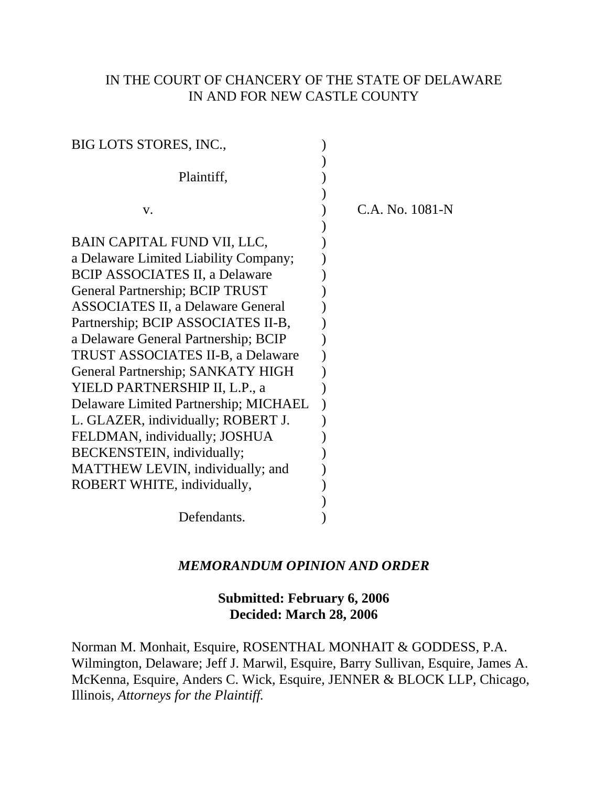# IN THE COURT OF CHANCERY OF THE STATE OF DELAWARE IN AND FOR NEW CASTLE COUNTY

| BIG LOTS STORES, INC.,                   |                 |
|------------------------------------------|-----------------|
| Plaintiff,                               |                 |
| V.                                       | C.A. No. 1081-N |
|                                          |                 |
| BAIN CAPITAL FUND VII, LLC,              |                 |
| a Delaware Limited Liability Company;    |                 |
| <b>BCIP ASSOCIATES II, a Delaware</b>    |                 |
| General Partnership; BCIP TRUST          |                 |
| <b>ASSOCIATES II, a Delaware General</b> |                 |
| Partnership; BCIP ASSOCIATES II-B,       |                 |
| a Delaware General Partnership; BCIP     |                 |
| <b>TRUST ASSOCIATES II-B, a Delaware</b> |                 |
| General Partnership; SANKATY HIGH        |                 |
| YIELD PARTNERSHIP II, L.P., a            |                 |
| Delaware Limited Partnership; MICHAEL    |                 |
| L. GLAZER, individually; ROBERT J.       |                 |
| FELDMAN, individually; JOSHUA            |                 |
| BECKENSTEIN, individually;               |                 |
| MATTHEW LEVIN, individually; and         |                 |
| ROBERT WHITE, individually,              |                 |
|                                          |                 |
| Defendants.                              |                 |

## *MEMORANDUM OPINION AND ORDER*

# **Submitted: February 6, 2006 Decided: March 28, 2006**

Norman M. Monhait, Esquire, ROSENTHAL MONHAIT & GODDESS, P.A. Wilmington, Delaware; Jeff J. Marwil, Esquire, Barry Sullivan, Esquire, James A. McKenna, Esquire, Anders C. Wick, Esquire, JENNER & BLOCK LLP, Chicago, Illinois, *Attorneys for the Plaintiff.*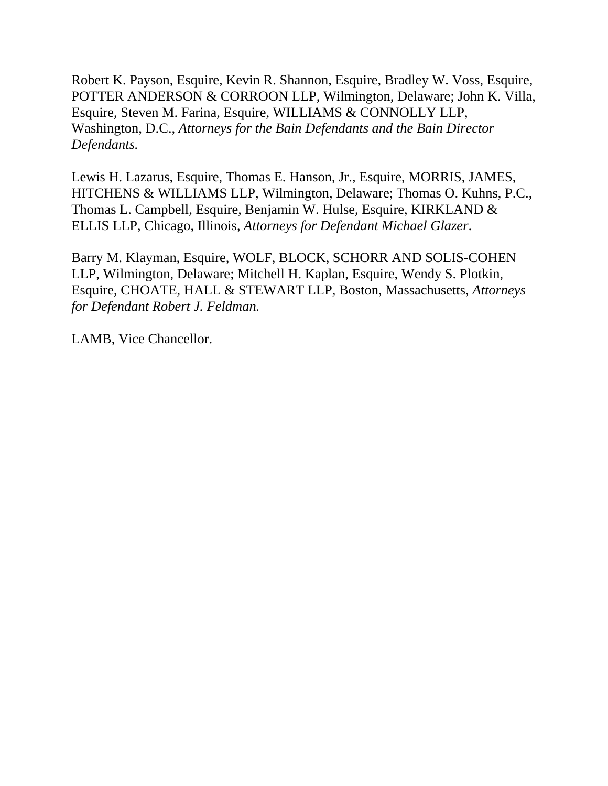Robert K. Payson, Esquire, Kevin R. Shannon, Esquire, Bradley W. Voss, Esquire, POTTER ANDERSON & CORROON LLP, Wilmington, Delaware; John K. Villa, Esquire, Steven M. Farina, Esquire, WILLIAMS & CONNOLLY LLP, Washington, D.C., *Attorneys for the Bain Defendants and the Bain Director Defendants.*

Lewis H. Lazarus, Esquire, Thomas E. Hanson, Jr., Esquire, MORRIS, JAMES, HITCHENS & WILLIAMS LLP, Wilmington, Delaware; Thomas O. Kuhns, P.C., Thomas L. Campbell, Esquire, Benjamin W. Hulse, Esquire, KIRKLAND & ELLIS LLP, Chicago, Illinois, *Attorneys for Defendant Michael Glazer*.

Barry M. Klayman, Esquire, WOLF, BLOCK, SCHORR AND SOLIS-COHEN LLP, Wilmington, Delaware; Mitchell H. Kaplan, Esquire, Wendy S. Plotkin, Esquire, CHOATE, HALL & STEWART LLP, Boston, Massachusetts, *Attorneys for Defendant Robert J. Feldman.*

LAMB, Vice Chancellor.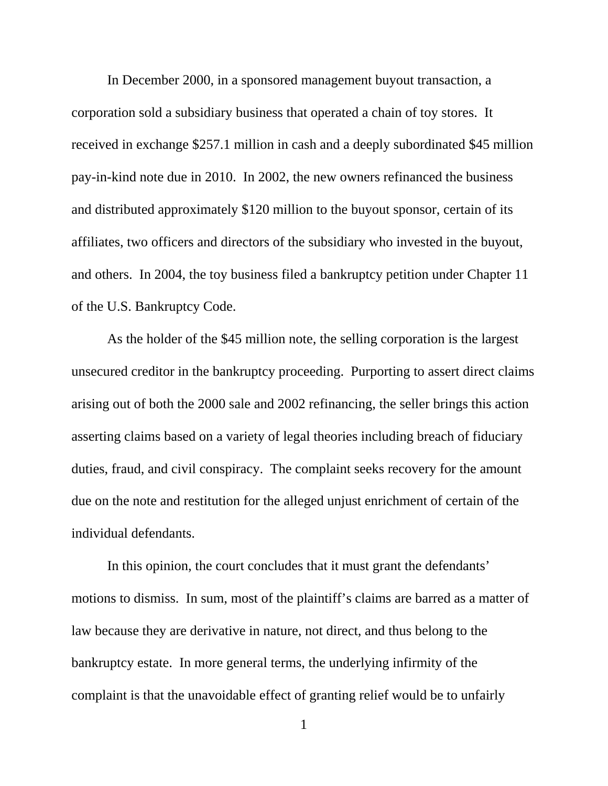In December 2000, in a sponsored management buyout transaction, a corporation sold a subsidiary business that operated a chain of toy stores. It received in exchange \$257.1 million in cash and a deeply subordinated \$45 million pay-in-kind note due in 2010. In 2002, the new owners refinanced the business and distributed approximately \$120 million to the buyout sponsor, certain of its affiliates, two officers and directors of the subsidiary who invested in the buyout, and others. In 2004, the toy business filed a bankruptcy petition under Chapter 11 of the U.S. Bankruptcy Code.

As the holder of the \$45 million note, the selling corporation is the largest unsecured creditor in the bankruptcy proceeding. Purporting to assert direct claims arising out of both the 2000 sale and 2002 refinancing, the seller brings this action asserting claims based on a variety of legal theories including breach of fiduciary duties, fraud, and civil conspiracy. The complaint seeks recovery for the amount due on the note and restitution for the alleged unjust enrichment of certain of the individual defendants.

In this opinion, the court concludes that it must grant the defendants' motions to dismiss. In sum, most of the plaintiff's claims are barred as a matter of law because they are derivative in nature, not direct, and thus belong to the bankruptcy estate. In more general terms, the underlying infirmity of the complaint is that the unavoidable effect of granting relief would be to unfairly

1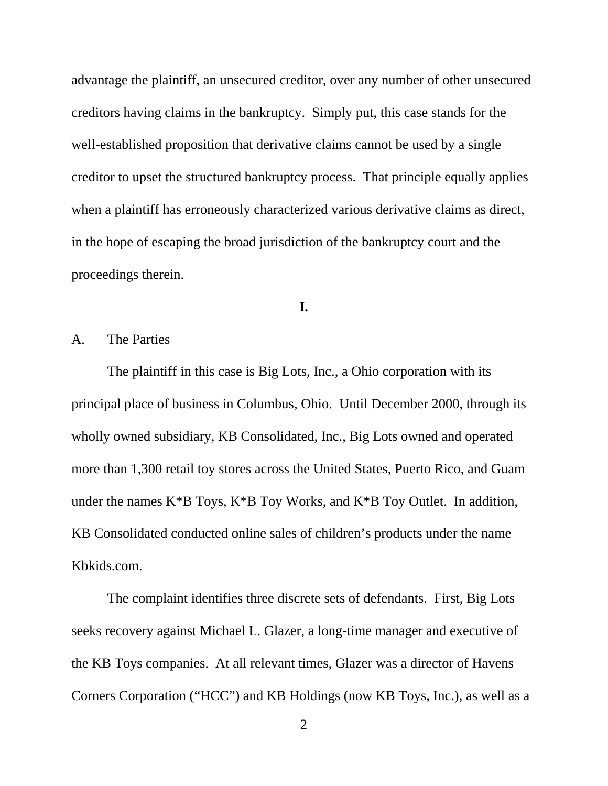advantage the plaintiff, an unsecured creditor, over any number of other unsecured creditors having claims in the bankruptcy. Simply put, this case stands for the well-established proposition that derivative claims cannot be used by a single creditor to upset the structured bankruptcy process. That principle equally applies when a plaintiff has erroneously characterized various derivative claims as direct, in the hope of escaping the broad jurisdiction of the bankruptcy court and the proceedings therein.

### **I.**

### A. The Parties

The plaintiff in this case is Big Lots, Inc., a Ohio corporation with its principal place of business in Columbus, Ohio. Until December 2000, through its wholly owned subsidiary, KB Consolidated, Inc., Big Lots owned and operated more than 1,300 retail toy stores across the United States, Puerto Rico, and Guam under the names  $K*B$  Toys,  $K*B$  Toy Works, and  $K*B$  Toy Outlet. In addition, KB Consolidated conducted online sales of children's products under the name Kbkids.com.

The complaint identifies three discrete sets of defendants. First, Big Lots seeks recovery against Michael L. Glazer, a long-time manager and executive of the KB Toys companies. At all relevant times, Glazer was a director of Havens Corners Corporation ("HCC") and KB Holdings (now KB Toys, Inc.), as well as a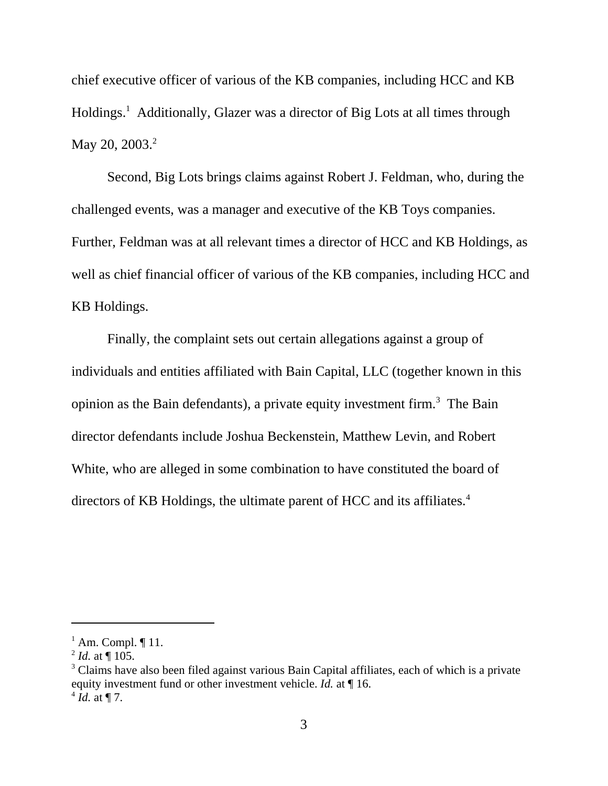chief executive officer of various of the KB companies, including HCC and KB Holdings.<sup>1</sup> Additionally, Glazer was a director of Big Lots at all times through May 20, 2003.<sup>2</sup>

Second, Big Lots brings claims against Robert J. Feldman, who, during the challenged events, was a manager and executive of the KB Toys companies. Further, Feldman was at all relevant times a director of HCC and KB Holdings, as well as chief financial officer of various of the KB companies, including HCC and KB Holdings.

Finally, the complaint sets out certain allegations against a group of individuals and entities affiliated with Bain Capital, LLC (together known in this opinion as the Bain defendants), a private equity investment firm.<sup>3</sup> The Bain director defendants include Joshua Beckenstein, Matthew Levin, and Robert White, who are alleged in some combination to have constituted the board of directors of KB Holdings, the ultimate parent of HCC and its affiliates.<sup>4</sup>

 $<sup>1</sup>$  Am. Compl.  $\P$  11.</sup>

 $^{2}$  *Id.* at ¶ 105.

<sup>&</sup>lt;sup>3</sup> Claims have also been filed against various Bain Capital affiliates, each of which is a private equity investment fund or other investment vehicle. *Id.* at ¶ 16.  $^{4}$  *Id.* at ¶ 7.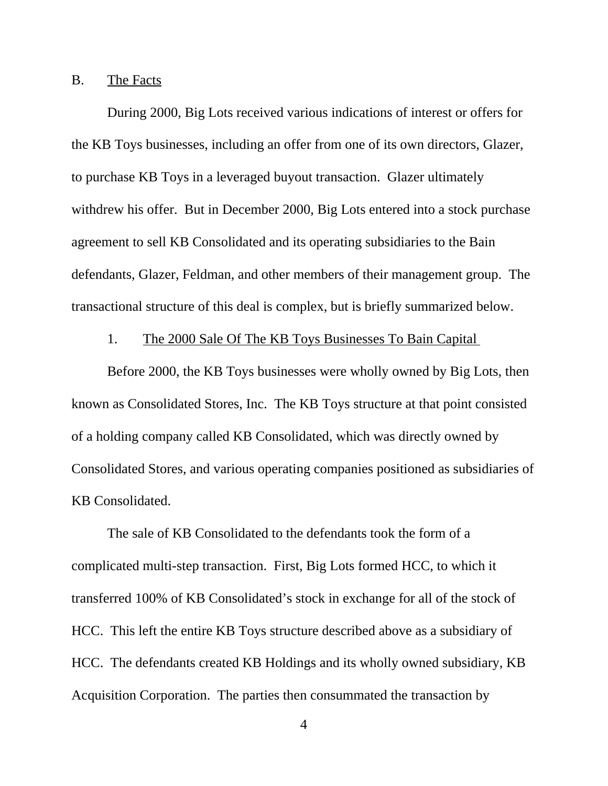#### B. The Facts

During 2000, Big Lots received various indications of interest or offers for the KB Toys businesses, including an offer from one of its own directors, Glazer, to purchase KB Toys in a leveraged buyout transaction. Glazer ultimately withdrew his offer. But in December 2000, Big Lots entered into a stock purchase agreement to sell KB Consolidated and its operating subsidiaries to the Bain defendants, Glazer, Feldman, and other members of their management group. The transactional structure of this deal is complex, but is briefly summarized below.

### 1. The 2000 Sale Of The KB Toys Businesses To Bain Capital

Before 2000, the KB Toys businesses were wholly owned by Big Lots, then known as Consolidated Stores, Inc. The KB Toys structure at that point consisted of a holding company called KB Consolidated, which was directly owned by Consolidated Stores, and various operating companies positioned as subsidiaries of KB Consolidated.

The sale of KB Consolidated to the defendants took the form of a complicated multi-step transaction. First, Big Lots formed HCC, to which it transferred 100% of KB Consolidated's stock in exchange for all of the stock of HCC. This left the entire KB Toys structure described above as a subsidiary of HCC. The defendants created KB Holdings and its wholly owned subsidiary, KB Acquisition Corporation. The parties then consummated the transaction by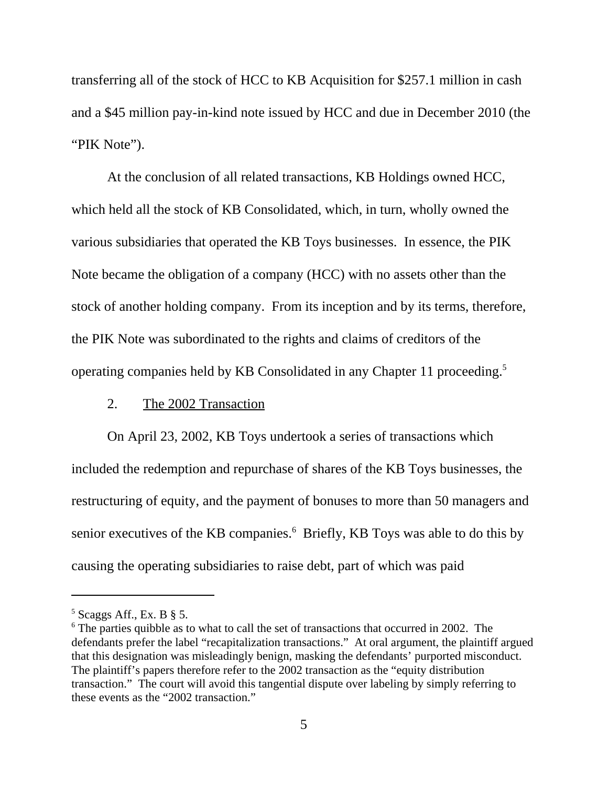transferring all of the stock of HCC to KB Acquisition for \$257.1 million in cash and a \$45 million pay-in-kind note issued by HCC and due in December 2010 (the "PIK Note").

At the conclusion of all related transactions, KB Holdings owned HCC, which held all the stock of KB Consolidated, which, in turn, wholly owned the various subsidiaries that operated the KB Toys businesses. In essence, the PIK Note became the obligation of a company (HCC) with no assets other than the stock of another holding company. From its inception and by its terms, therefore, the PIK Note was subordinated to the rights and claims of creditors of the operating companies held by KB Consolidated in any Chapter 11 proceeding.5

### 2. The 2002 Transaction

On April 23, 2002, KB Toys undertook a series of transactions which included the redemption and repurchase of shares of the KB Toys businesses, the restructuring of equity, and the payment of bonuses to more than 50 managers and senior executives of the KB companies.<sup>6</sup> Briefly, KB Toys was able to do this by causing the operating subsidiaries to raise debt, part of which was paid

 $<sup>5</sup>$  Scaggs Aff., Ex. B § 5.</sup>

<sup>&</sup>lt;sup>6</sup> The parties quibble as to what to call the set of transactions that occurred in 2002. The defendants prefer the label "recapitalization transactions." At oral argument, the plaintiff argued that this designation was misleadingly benign, masking the defendants' purported misconduct. The plaintiff's papers therefore refer to the 2002 transaction as the "equity distribution transaction." The court will avoid this tangential dispute over labeling by simply referring to these events as the "2002 transaction."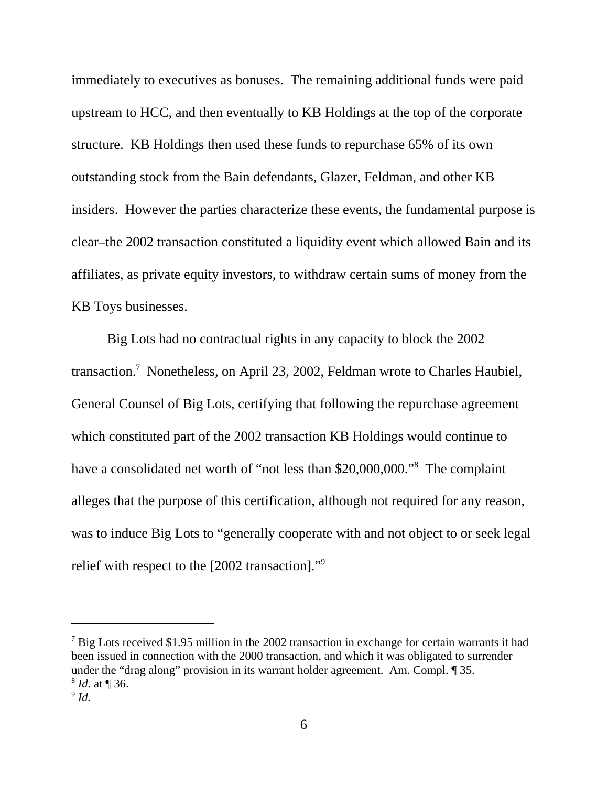immediately to executives as bonuses. The remaining additional funds were paid upstream to HCC, and then eventually to KB Holdings at the top of the corporate structure. KB Holdings then used these funds to repurchase 65% of its own outstanding stock from the Bain defendants, Glazer, Feldman, and other KB insiders. However the parties characterize these events, the fundamental purpose is clear–the 2002 transaction constituted a liquidity event which allowed Bain and its affiliates, as private equity investors, to withdraw certain sums of money from the KB Toys businesses.

Big Lots had no contractual rights in any capacity to block the 2002 transaction.<sup>7</sup> Nonetheless, on April 23, 2002, Feldman wrote to Charles Haubiel, General Counsel of Big Lots, certifying that following the repurchase agreement which constituted part of the 2002 transaction KB Holdings would continue to have a consolidated net worth of "not less than \$20,000,000."<sup>8</sup> The complaint alleges that the purpose of this certification, although not required for any reason, was to induce Big Lots to "generally cooperate with and not object to or seek legal relief with respect to the [2002 transaction]."9

 $7$  Big Lots received \$1.95 million in the 2002 transaction in exchange for certain warrants it had been issued in connection with the 2000 transaction, and which it was obligated to surrender under the "drag along" provision in its warrant holder agreement. Am. Compl. ¶ 35. <sup>8</sup> *Id.* at ¶ 36.

 $9$  *Id.*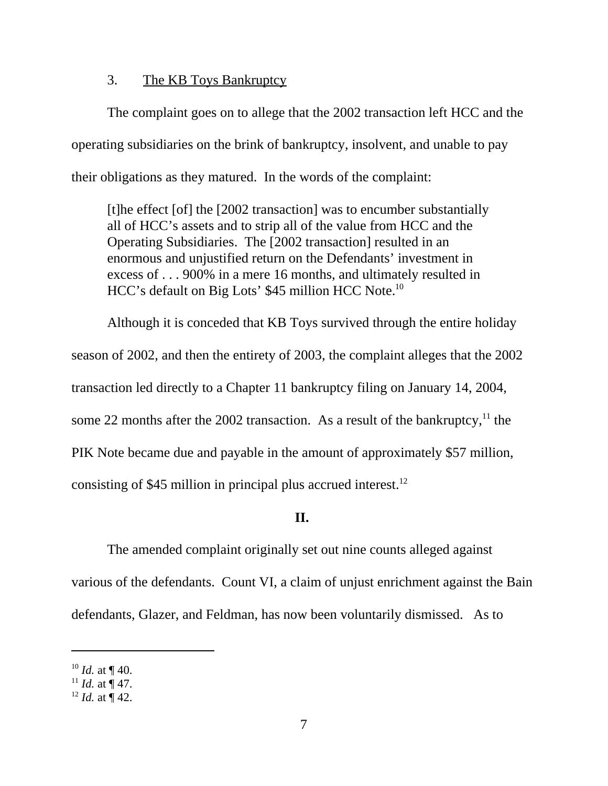# 3. The KB Toys Bankruptcy

The complaint goes on to allege that the 2002 transaction left HCC and the operating subsidiaries on the brink of bankruptcy, insolvent, and unable to pay their obligations as they matured. In the words of the complaint:

[t]he effect [of] the [2002 transaction] was to encumber substantially all of HCC's assets and to strip all of the value from HCC and the Operating Subsidiaries. The [2002 transaction] resulted in an enormous and unjustified return on the Defendants' investment in excess of . . . 900% in a mere 16 months, and ultimately resulted in HCC's default on Big Lots' \$45 million HCC Note.10

Although it is conceded that KB Toys survived through the entire holiday season of 2002, and then the entirety of 2003, the complaint alleges that the 2002 transaction led directly to a Chapter 11 bankruptcy filing on January 14, 2004, some 22 months after the 2002 transaction. As a result of the bankruptcy,  $11$  the PIK Note became due and payable in the amount of approximately \$57 million, consisting of \$45 million in principal plus accrued interest.<sup>12</sup>

## **II.**

The amended complaint originally set out nine counts alleged against various of the defendants. Count VI, a claim of unjust enrichment against the Bain defendants, Glazer, and Feldman, has now been voluntarily dismissed. As to

 $10$  *Id.* at ¶ 40.

 $11$  *Id.* at ¶ 47.

 $12$  *Id.* at  $\frac{1}{4}$  42.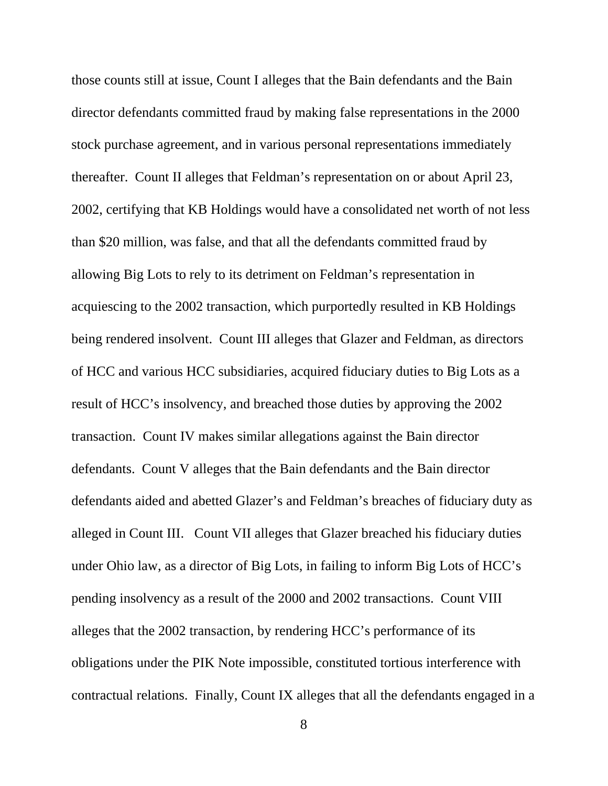those counts still at issue, Count I alleges that the Bain defendants and the Bain director defendants committed fraud by making false representations in the 2000 stock purchase agreement, and in various personal representations immediately thereafter. Count II alleges that Feldman's representation on or about April 23, 2002, certifying that KB Holdings would have a consolidated net worth of not less than \$20 million, was false, and that all the defendants committed fraud by allowing Big Lots to rely to its detriment on Feldman's representation in acquiescing to the 2002 transaction, which purportedly resulted in KB Holdings being rendered insolvent. Count III alleges that Glazer and Feldman, as directors of HCC and various HCC subsidiaries, acquired fiduciary duties to Big Lots as a result of HCC's insolvency, and breached those duties by approving the 2002 transaction. Count IV makes similar allegations against the Bain director defendants. Count V alleges that the Bain defendants and the Bain director defendants aided and abetted Glazer's and Feldman's breaches of fiduciary duty as alleged in Count III. Count VII alleges that Glazer breached his fiduciary duties under Ohio law, as a director of Big Lots, in failing to inform Big Lots of HCC's pending insolvency as a result of the 2000 and 2002 transactions. Count VIII alleges that the 2002 transaction, by rendering HCC's performance of its obligations under the PIK Note impossible, constituted tortious interference with contractual relations. Finally, Count IX alleges that all the defendants engaged in a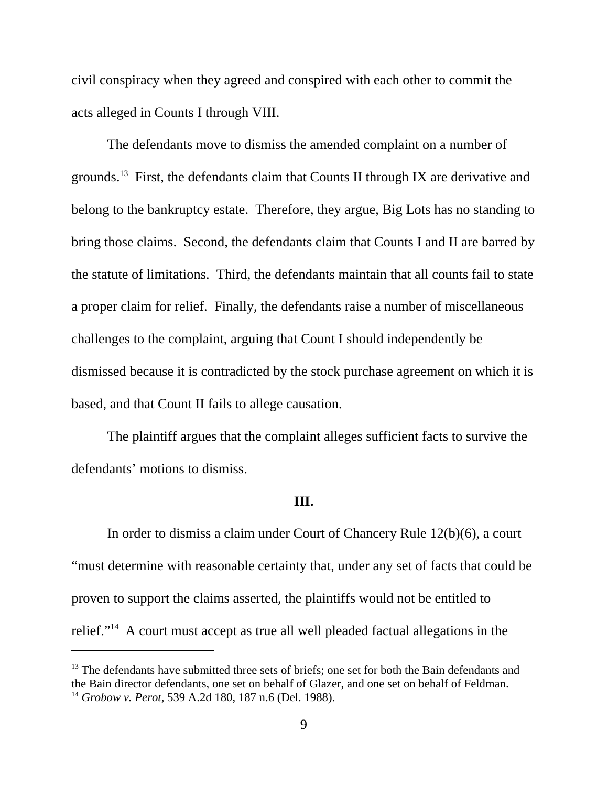civil conspiracy when they agreed and conspired with each other to commit the acts alleged in Counts I through VIII.

The defendants move to dismiss the amended complaint on a number of grounds.13 First, the defendants claim that Counts II through IX are derivative and belong to the bankruptcy estate. Therefore, they argue, Big Lots has no standing to bring those claims. Second, the defendants claim that Counts I and II are barred by the statute of limitations. Third, the defendants maintain that all counts fail to state a proper claim for relief. Finally, the defendants raise a number of miscellaneous challenges to the complaint, arguing that Count I should independently be dismissed because it is contradicted by the stock purchase agreement on which it is based, and that Count II fails to allege causation.

The plaintiff argues that the complaint alleges sufficient facts to survive the defendants' motions to dismiss.

#### **III.**

In order to dismiss a claim under Court of Chancery Rule 12(b)(6), a court "must determine with reasonable certainty that, under any set of facts that could be proven to support the claims asserted, the plaintiffs would not be entitled to relief."14 A court must accept as true all well pleaded factual allegations in the

 $13$  The defendants have submitted three sets of briefs; one set for both the Bain defendants and the Bain director defendants, one set on behalf of Glazer, and one set on behalf of Feldman. <sup>14</sup> *Grobow v. Perot*, 539 A.2d 180, 187 n.6 (Del. 1988).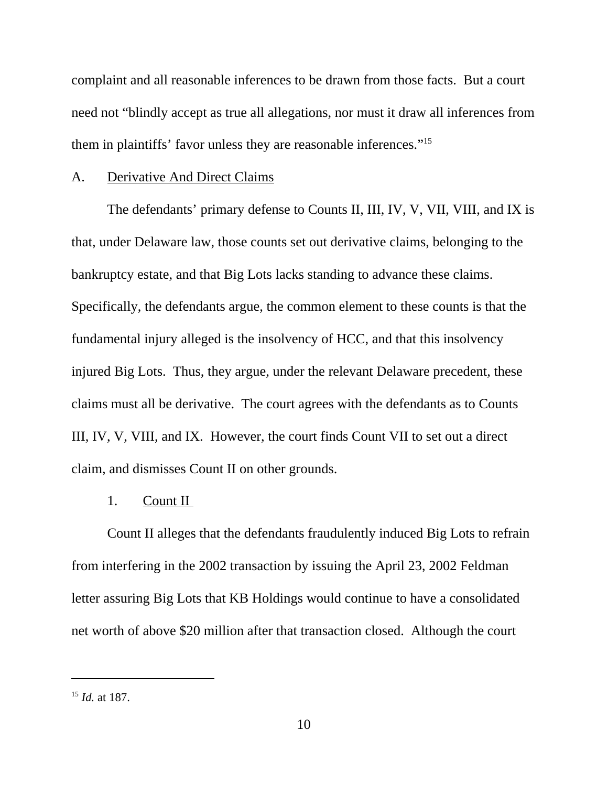complaint and all reasonable inferences to be drawn from those facts. But a court need not "blindly accept as true all allegations, nor must it draw all inferences from them in plaintiffs' favor unless they are reasonable inferences."15

## A. Derivative And Direct Claims

The defendants' primary defense to Counts II, III, IV, V, VII, VIII, and IX is that, under Delaware law, those counts set out derivative claims, belonging to the bankruptcy estate, and that Big Lots lacks standing to advance these claims. Specifically, the defendants argue, the common element to these counts is that the fundamental injury alleged is the insolvency of HCC, and that this insolvency injured Big Lots. Thus, they argue, under the relevant Delaware precedent, these claims must all be derivative. The court agrees with the defendants as to Counts III, IV, V, VIII, and IX. However, the court finds Count VII to set out a direct claim, and dismisses Count II on other grounds.

### 1. Count II

Count II alleges that the defendants fraudulently induced Big Lots to refrain from interfering in the 2002 transaction by issuing the April 23, 2002 Feldman letter assuring Big Lots that KB Holdings would continue to have a consolidated net worth of above \$20 million after that transaction closed. Although the court

<sup>15</sup> *Id.* at 187.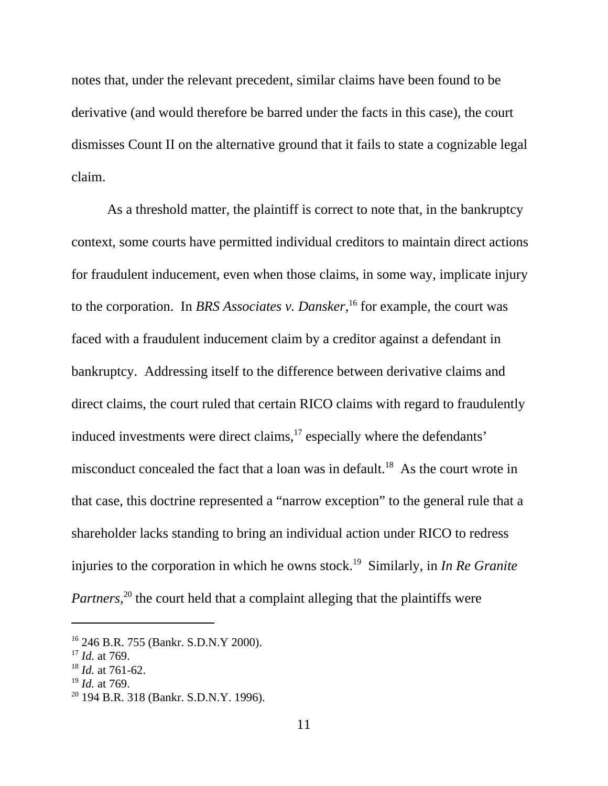notes that, under the relevant precedent, similar claims have been found to be derivative (and would therefore be barred under the facts in this case), the court dismisses Count II on the alternative ground that it fails to state a cognizable legal claim.

As a threshold matter, the plaintiff is correct to note that, in the bankruptcy context, some courts have permitted individual creditors to maintain direct actions for fraudulent inducement, even when those claims, in some way, implicate injury to the corporation. In *BRS Associates v. Dansker*, 16 for example, the court was faced with a fraudulent inducement claim by a creditor against a defendant in bankruptcy. Addressing itself to the difference between derivative claims and direct claims, the court ruled that certain RICO claims with regard to fraudulently induced investments were direct claims,<sup>17</sup> especially where the defendants' misconduct concealed the fact that a loan was in default.<sup>18</sup> As the court wrote in that case, this doctrine represented a "narrow exception" to the general rule that a shareholder lacks standing to bring an individual action under RICO to redress injuries to the corporation in which he owns stock.<sup>19</sup> Similarly, in *In Re Granite Partners*,<sup>20</sup> the court held that a complaint alleging that the plaintiffs were

<sup>16 246</sup> B.R. 755 (Bankr. S.D.N.Y 2000).

<sup>17</sup> *Id.* at 769.

<sup>18</sup> *Id.* at 761-62.

<sup>19</sup> *Id.* at 769.

<sup>&</sup>lt;sup>20</sup> 194 B.R. 318 (Bankr. S.D.N.Y. 1996).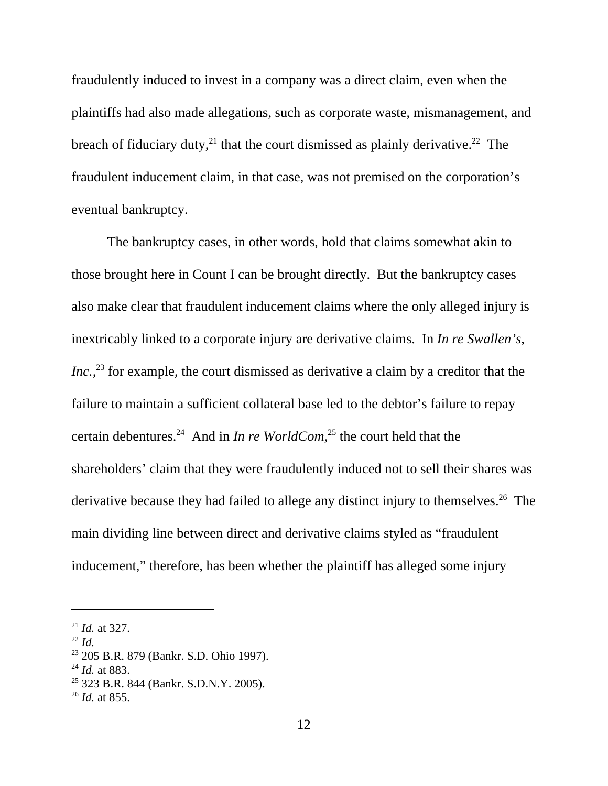fraudulently induced to invest in a company was a direct claim, even when the plaintiffs had also made allegations, such as corporate waste, mismanagement, and breach of fiduciary duty,<sup>21</sup> that the court dismissed as plainly derivative.<sup>22</sup> The fraudulent inducement claim, in that case, was not premised on the corporation's eventual bankruptcy.

The bankruptcy cases, in other words, hold that claims somewhat akin to those brought here in Count I can be brought directly. But the bankruptcy cases also make clear that fraudulent inducement claims where the only alleged injury is inextricably linked to a corporate injury are derivative claims. In *In re Swallen's, Inc.*<sup>23</sup> for example, the court dismissed as derivative a claim by a creditor that the failure to maintain a sufficient collateral base led to the debtor's failure to repay certain debentures.24 And in *In re WorldCom,*25 the court held that the shareholders' claim that they were fraudulently induced not to sell their shares was derivative because they had failed to allege any distinct injury to themselves.<sup>26</sup> The main dividing line between direct and derivative claims styled as "fraudulent inducement," therefore, has been whether the plaintiff has alleged some injury

<sup>21</sup> *Id.* at 327.

 $^{22}$  *Id.* 

<sup>23 205</sup> B.R. 879 (Bankr. S.D. Ohio 1997).

<sup>24</sup> *Id.* at 883.

<sup>25 323</sup> B.R. 844 (Bankr. S.D.N.Y. 2005).

<sup>26</sup> *Id.* at 855.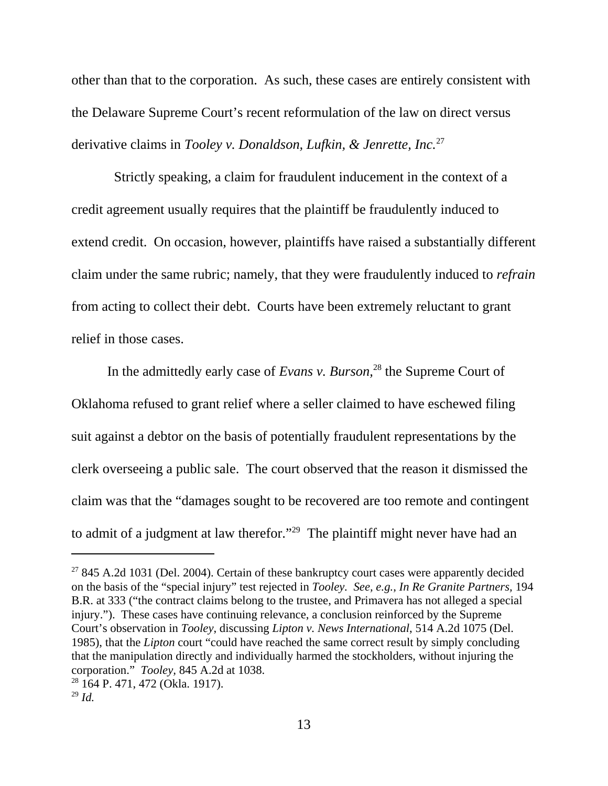other than that to the corporation. As such, these cases are entirely consistent with the Delaware Supreme Court's recent reformulation of the law on direct versus derivative claims in *Tooley v. Donaldson, Lufkin, & Jenrette, Inc.*<sup>27</sup>

 Strictly speaking, a claim for fraudulent inducement in the context of a credit agreement usually requires that the plaintiff be fraudulently induced to extend credit. On occasion, however, plaintiffs have raised a substantially different claim under the same rubric; namely, that they were fraudulently induced to *refrain* from acting to collect their debt. Courts have been extremely reluctant to grant relief in those cases.

In the admittedly early case of *Evans v. Burson,*28 the Supreme Court of Oklahoma refused to grant relief where a seller claimed to have eschewed filing suit against a debtor on the basis of potentially fraudulent representations by the clerk overseeing a public sale. The court observed that the reason it dismissed the claim was that the "damages sought to be recovered are too remote and contingent to admit of a judgment at law therefor."<sup>29</sup> The plaintiff might never have had an

 $27845$  A.2d 1031 (Del. 2004). Certain of these bankruptcy court cases were apparently decided on the basis of the "special injury" test rejected in *Tooley. See, e.g.*, *In Re Granite Partners,* 194 B.R. at 333 ("the contract claims belong to the trustee, and Primavera has not alleged a special injury."). These cases have continuing relevance, a conclusion reinforced by the Supreme Court's observation in *Tooley*, discussing *Lipton v. News International*, 514 A.2d 1075 (Del. 1985), that the *Lipton* court "could have reached the same correct result by simply concluding that the manipulation directly and individually harmed the stockholders, without injuring the corporation." *Tooley,* 845 A.2d at 1038.

<sup>28 164</sup> P. 471, 472 (Okla. 1917).

 $^{29}$  *Id.*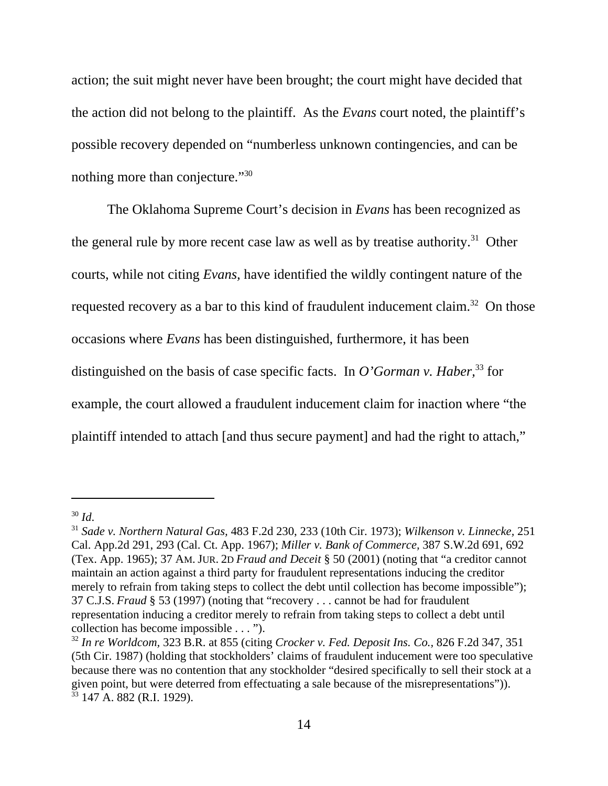action; the suit might never have been brought; the court might have decided that the action did not belong to the plaintiff. As the *Evans* court noted, the plaintiff's possible recovery depended on "numberless unknown contingencies, and can be nothing more than conjecture."30

The Oklahoma Supreme Court's decision in *Evans* has been recognized as the general rule by more recent case law as well as by treatise authority.<sup>31</sup> Other courts, while not citing *Evans,* have identified the wildly contingent nature of the requested recovery as a bar to this kind of fraudulent inducement claim.<sup>32</sup> On those occasions where *Evans* has been distinguished, furthermore, it has been distinguished on the basis of case specific facts. In *O'Gorman v. Haber*<sup>33</sup> for example, the court allowed a fraudulent inducement claim for inaction where "the plaintiff intended to attach [and thus secure payment] and had the right to attach,"

<sup>30</sup> *Id*. 31 *Sade v. Northern Natural Gas,* 483 F.2d 230, 233 (10th Cir. 1973); *Wilkenson v. Linnecke,* <sup>251</sup> Cal. App.2d 291, 293 (Cal. Ct. App. 1967); *Miller v. Bank of Commerce,* 387 S.W.2d 691, 692 (Tex. App. 1965); 37 AM. JUR. 2D *Fraud and Deceit* § 50 (2001) (noting that "a creditor cannot maintain an action against a third party for fraudulent representations inducing the creditor merely to refrain from taking steps to collect the debt until collection has become impossible"); 37 C.J.S. *Fraud* § 53 (1997) (noting that "recovery . . . cannot be had for fraudulent representation inducing a creditor merely to refrain from taking steps to collect a debt until collection has become impossible . . . ").

<sup>32</sup> *In re Worldcom,* 323 B.R. at 855 (citing *Crocker v. Fed. Deposit Ins. Co.,* 826 F.2d 347, 351 (5th Cir. 1987) (holding that stockholders' claims of fraudulent inducement were too speculative because there was no contention that any stockholder "desired specifically to sell their stock at a given point, but were deterred from effectuating a sale because of the misrepresentations")).  $33$  147 A. 882 (R.I. 1929).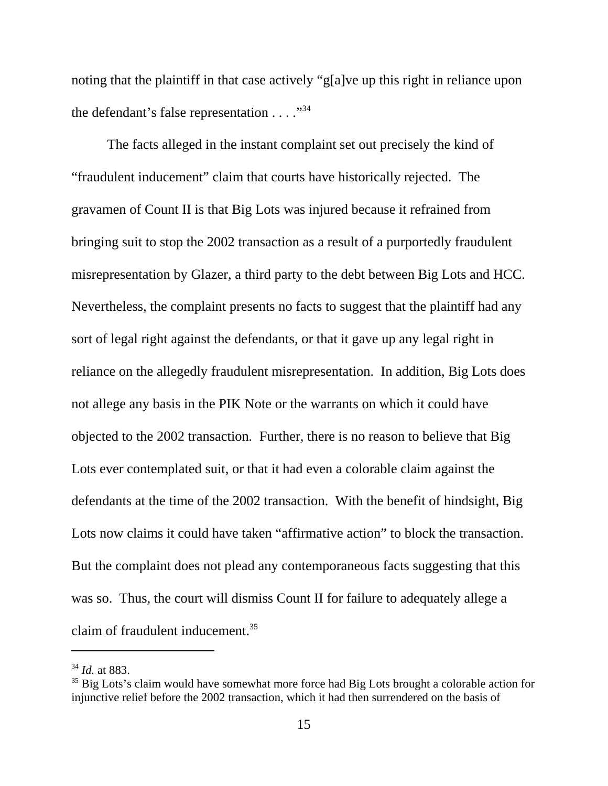noting that the plaintiff in that case actively "g[a]ve up this right in reliance upon the defendant's false representation  $\dots$ ."<sup>34</sup>

The facts alleged in the instant complaint set out precisely the kind of "fraudulent inducement" claim that courts have historically rejected. The gravamen of Count II is that Big Lots was injured because it refrained from bringing suit to stop the 2002 transaction as a result of a purportedly fraudulent misrepresentation by Glazer, a third party to the debt between Big Lots and HCC. Nevertheless, the complaint presents no facts to suggest that the plaintiff had any sort of legal right against the defendants, or that it gave up any legal right in reliance on the allegedly fraudulent misrepresentation. In addition, Big Lots does not allege any basis in the PIK Note or the warrants on which it could have objected to the 2002 transaction*.* Further, there is no reason to believe that Big Lots ever contemplated suit, or that it had even a colorable claim against the defendants at the time of the 2002 transaction. With the benefit of hindsight, Big Lots now claims it could have taken "affirmative action" to block the transaction. But the complaint does not plead any contemporaneous facts suggesting that this was so. Thus, the court will dismiss Count II for failure to adequately allege a claim of fraudulent inducement.35

<sup>34</sup> *Id.* at 883.

<sup>&</sup>lt;sup>35</sup> Big Lots's claim would have somewhat more force had Big Lots brought a colorable action for injunctive relief before the 2002 transaction, which it had then surrendered on the basis of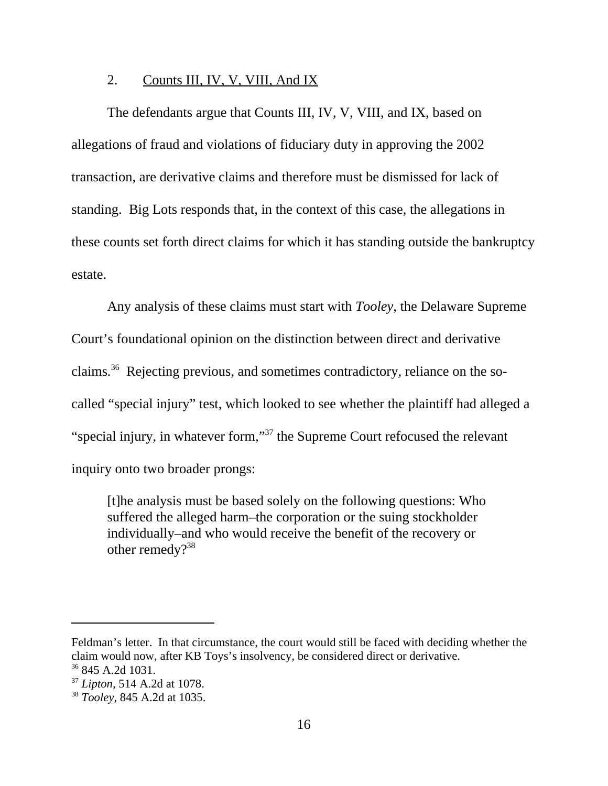### 2. Counts III, IV, V, VIII, And IX

The defendants argue that Counts III, IV, V, VIII, and IX, based on allegations of fraud and violations of fiduciary duty in approving the 2002 transaction, are derivative claims and therefore must be dismissed for lack of standing. Big Lots responds that, in the context of this case, the allegations in these counts set forth direct claims for which it has standing outside the bankruptcy estate.

Any analysis of these claims must start with *Tooley*, the Delaware Supreme Court's foundational opinion on the distinction between direct and derivative claims*.* 36 Rejecting previous, and sometimes contradictory, reliance on the socalled "special injury" test, which looked to see whether the plaintiff had alleged a "special injury, in whatever form,"37 the Supreme Court refocused the relevant inquiry onto two broader prongs:

[t]he analysis must be based solely on the following questions: Who suffered the alleged harm–the corporation or the suing stockholder individually–and who would receive the benefit of the recovery or other remedy?<sup>38</sup>

Feldman's letter. In that circumstance, the court would still be faced with deciding whether the claim would now, after KB Toys's insolvency, be considered direct or derivative. 36 845 A.2d 1031.

<sup>37</sup> *Lipton,* 514 A.2d at 1078.

<sup>38</sup> *Tooley,* 845 A.2d at 1035.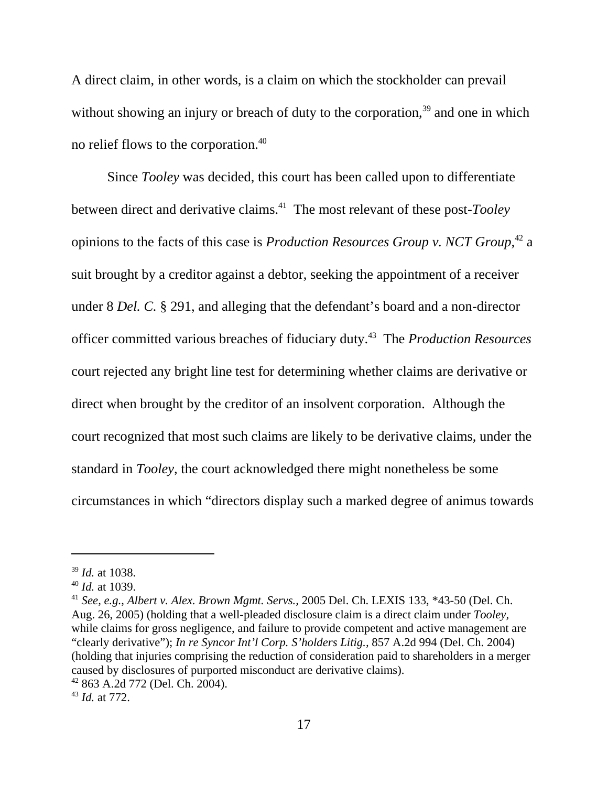A direct claim, in other words, is a claim on which the stockholder can prevail without showing an injury or breach of duty to the corporation,<sup>39</sup> and one in which no relief flows to the corporation.40

Since *Tooley* was decided, this court has been called upon to differentiate between direct and derivative claims.41 The most relevant of these post*-Tooley* opinions to the facts of this case is *Production Resources Group v. NCT Group,*42 a suit brought by a creditor against a debtor, seeking the appointment of a receiver under 8 *Del. C.* § 291, and alleging that the defendant's board and a non-director officer committed various breaches of fiduciary duty.43 The *Production Resources* court rejected any bright line test for determining whether claims are derivative or direct when brought by the creditor of an insolvent corporation. Although the court recognized that most such claims are likely to be derivative claims, under the standard in *Tooley,* the court acknowledged there might nonetheless be some circumstances in which "directors display such a marked degree of animus towards

<sup>41</sup> *See, e.g.*, *Albert v. Alex. Brown Mgmt. Servs.,* 2005 Del. Ch. LEXIS 133, \*43-50 (Del. Ch. Aug. 26, 2005) (holding that a well-pleaded disclosure claim is a direct claim under *Tooley,* while claims for gross negligence, and failure to provide competent and active management are "clearly derivative"); *In re Syncor Int'l Corp. S'holders Litig.,* 857 A.2d 994 (Del. Ch. 2004) (holding that injuries comprising the reduction of consideration paid to shareholders in a merger caused by disclosures of purported misconduct are derivative claims). 42 863 A.2d 772 (Del. Ch. 2004).

<sup>43</sup> *Id.* at 772.

<sup>39</sup> *Id.* at 1038.

<sup>40</sup> *Id.* at 1039.

<sup>17</sup>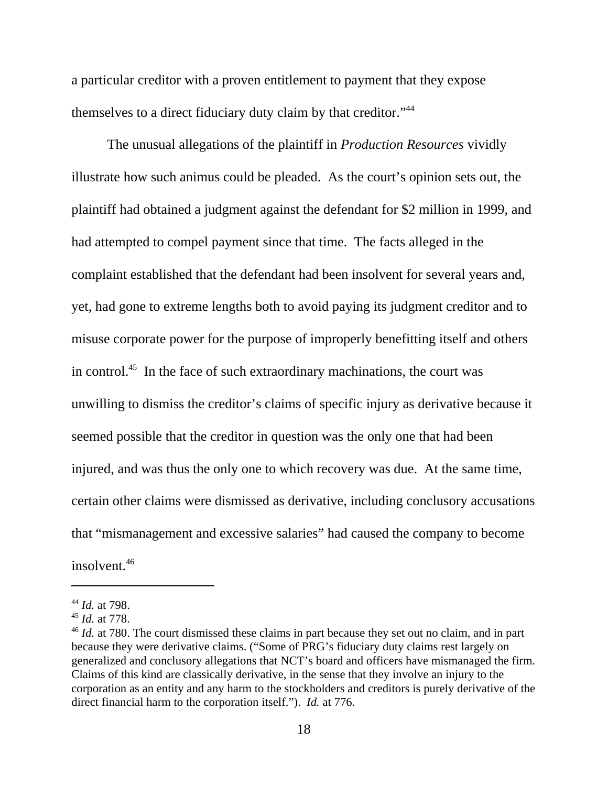a particular creditor with a proven entitlement to payment that they expose themselves to a direct fiduciary duty claim by that creditor."44

The unusual allegations of the plaintiff in *Production Resources* vividly illustrate how such animus could be pleaded. As the court's opinion sets out, the plaintiff had obtained a judgment against the defendant for \$2 million in 1999, and had attempted to compel payment since that time. The facts alleged in the complaint established that the defendant had been insolvent for several years and, yet, had gone to extreme lengths both to avoid paying its judgment creditor and to misuse corporate power for the purpose of improperly benefitting itself and others in control.<sup>45</sup> In the face of such extraordinary machinations, the court was unwilling to dismiss the creditor's claims of specific injury as derivative because it seemed possible that the creditor in question was the only one that had been injured, and was thus the only one to which recovery was due. At the same time, certain other claims were dismissed as derivative, including conclusory accusations that "mismanagement and excessive salaries" had caused the company to become insolvent.<sup>46</sup>

<sup>44</sup> *Id.* at 798.

<sup>45</sup> *Id.* at 778.

<sup>&</sup>lt;sup>46</sup> *Id.* at 780. The court dismissed these claims in part because they set out no claim, and in part because they were derivative claims. ("Some of PRG's fiduciary duty claims rest largely on generalized and conclusory allegations that NCT's board and officers have mismanaged the firm. Claims of this kind are classically derivative, in the sense that they involve an injury to the corporation as an entity and any harm to the stockholders and creditors is purely derivative of the direct financial harm to the corporation itself."). *Id.* at 776.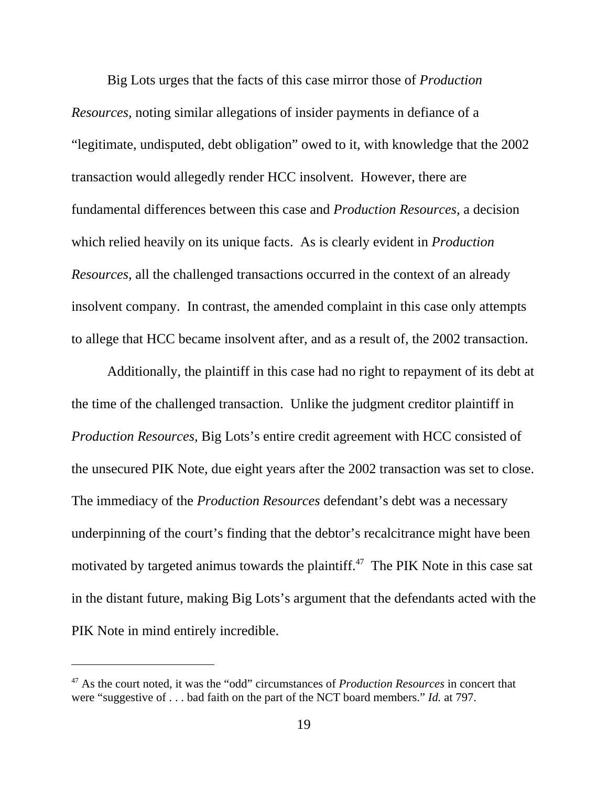Big Lots urges that the facts of this case mirror those of *Production Resources,* noting similar allegations of insider payments in defiance of a "legitimate, undisputed, debt obligation" owed to it, with knowledge that the 2002 transaction would allegedly render HCC insolvent. However, there are fundamental differences between this case and *Production Resources,* a decision which relied heavily on its unique facts. As is clearly evident in *Production Resources*, all the challenged transactions occurred in the context of an already insolvent company. In contrast, the amended complaint in this case only attempts to allege that HCC became insolvent after, and as a result of, the 2002 transaction.

Additionally, the plaintiff in this case had no right to repayment of its debt at the time of the challenged transaction. Unlike the judgment creditor plaintiff in *Production Resources,* Big Lots's entire credit agreement with HCC consisted of the unsecured PIK Note, due eight years after the 2002 transaction was set to close. The immediacy of the *Production Resources* defendant's debt was a necessary underpinning of the court's finding that the debtor's recalcitrance might have been motivated by targeted animus towards the plaintiff.<sup> $47$ </sup> The PIK Note in this case sat in the distant future, making Big Lots's argument that the defendants acted with the PIK Note in mind entirely incredible.

<sup>47</sup> As the court noted, it was the "odd" circumstances of *Production Resources* in concert that were "suggestive of . . . bad faith on the part of the NCT board members." *Id.* at 797.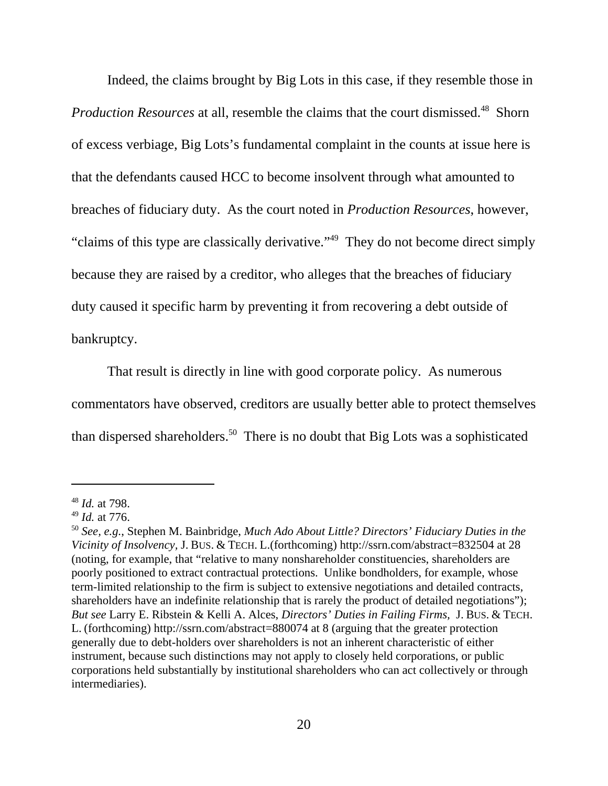Indeed, the claims brought by Big Lots in this case, if they resemble those in *Production Resources* at all, resemble the claims that the court dismissed.<sup>48</sup> Shorn of excess verbiage, Big Lots's fundamental complaint in the counts at issue here is that the defendants caused HCC to become insolvent through what amounted to breaches of fiduciary duty. As the court noted in *Production Resources*, however, "claims of this type are classically derivative."49 They do not become direct simply because they are raised by a creditor, who alleges that the breaches of fiduciary duty caused it specific harm by preventing it from recovering a debt outside of bankruptcy.

That result is directly in line with good corporate policy. As numerous commentators have observed, creditors are usually better able to protect themselves than dispersed shareholders.<sup>50</sup> There is no doubt that Big Lots was a sophisticated

<sup>48</sup> *Id.* at 798.

<sup>49</sup> *Id.* at 776.

<sup>50</sup> *See, e.g.*, Stephen M. Bainbridge, *Much Ado About Little? Directors' Fiduciary Duties in the Vicinity of Insolvency,* J. BUS. & TECH. L.(forthcoming) http://ssrn.com/abstract=832504 at 28 (noting, for example, that "relative to many nonshareholder constituencies, shareholders are poorly positioned to extract contractual protections. Unlike bondholders, for example, whose term-limited relationship to the firm is subject to extensive negotiations and detailed contracts, shareholders have an indefinite relationship that is rarely the product of detailed negotiations"); *But see* Larry E. Ribstein & Kelli A. Alces, *Directors' Duties in Failing Firms,* J. BUS. & TECH. L. (forthcoming) http://ssrn.com/abstract=880074 at 8 (arguing that the greater protection generally due to debt-holders over shareholders is not an inherent characteristic of either instrument, because such distinctions may not apply to closely held corporations, or public corporations held substantially by institutional shareholders who can act collectively or through intermediaries).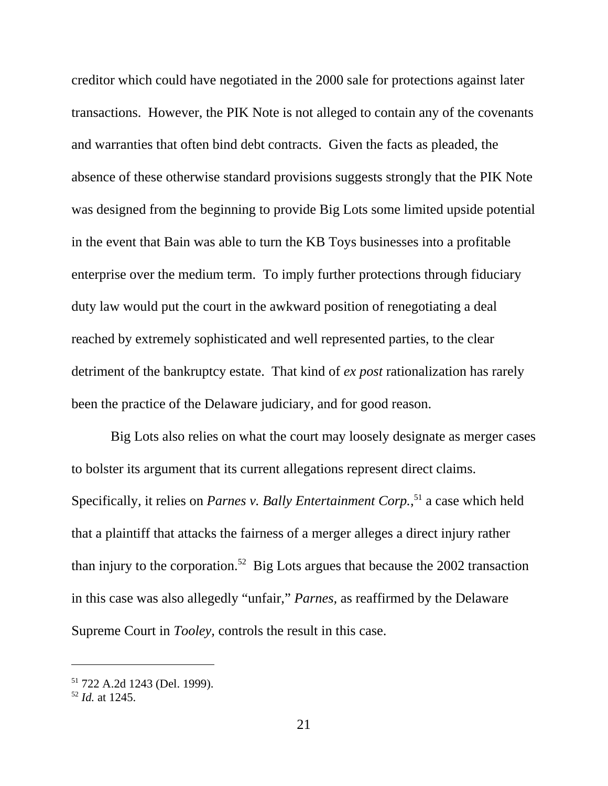creditor which could have negotiated in the 2000 sale for protections against later transactions. However, the PIK Note is not alleged to contain any of the covenants and warranties that often bind debt contracts. Given the facts as pleaded, the absence of these otherwise standard provisions suggests strongly that the PIK Note was designed from the beginning to provide Big Lots some limited upside potential in the event that Bain was able to turn the KB Toys businesses into a profitable enterprise over the medium term. To imply further protections through fiduciary duty law would put the court in the awkward position of renegotiating a deal reached by extremely sophisticated and well represented parties, to the clear detriment of the bankruptcy estate. That kind of *ex post* rationalization has rarely been the practice of the Delaware judiciary, and for good reason.

 Big Lots also relies on what the court may loosely designate as merger cases to bolster its argument that its current allegations represent direct claims. Specifically, it relies on *Parnes v. Bally Entertainment Corp.*, 51 a case which held that a plaintiff that attacks the fairness of a merger alleges a direct injury rather than injury to the corporation.<sup>52</sup> Big Lots argues that because the 2002 transaction in this case was also allegedly "unfair," *Parnes,* as reaffirmed by the Delaware Supreme Court in *Tooley,* controls the result in this case.

<sup>51 722</sup> A.2d 1243 (Del. 1999).

<sup>52</sup> *Id.* at 1245.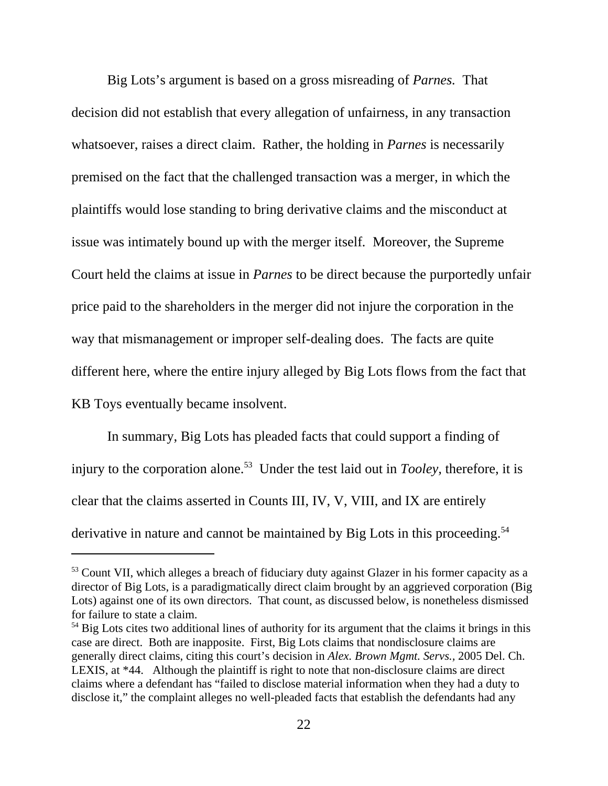Big Lots's argument is based on a gross misreading of *Parnes.* That decision did not establish that every allegation of unfairness, in any transaction whatsoever, raises a direct claim. Rather, the holding in *Parnes* is necessarily premised on the fact that the challenged transaction was a merger, in which the plaintiffs would lose standing to bring derivative claims and the misconduct at issue was intimately bound up with the merger itself*.* Moreover, the Supreme Court held the claims at issue in *Parnes* to be direct because the purportedly unfair price paid to the shareholders in the merger did not injure the corporation in the way that mismanagement or improper self-dealing does. The facts are quite different here, where the entire injury alleged by Big Lots flows from the fact that KB Toys eventually became insolvent.

In summary, Big Lots has pleaded facts that could support a finding of injury to the corporation alone.<sup>53</sup> Under the test laid out in *Tooley*, therefore, it is clear that the claims asserted in Counts III, IV, V, VIII, and IX are entirely derivative in nature and cannot be maintained by Big Lots in this proceeding.<sup>54</sup>

<sup>&</sup>lt;sup>53</sup> Count VII, which alleges a breach of fiduciary duty against Glazer in his former capacity as a director of Big Lots, is a paradigmatically direct claim brought by an aggrieved corporation (Big Lots) against one of its own directors. That count, as discussed below, is nonetheless dismissed for failure to state a claim.

<sup>&</sup>lt;sup>54</sup> Big Lots cites two additional lines of authority for its argument that the claims it brings in this case are direct. Both are inapposite. First, Big Lots claims that nondisclosure claims are generally direct claims, citing this court's decision in *Alex. Brown Mgmt. Servs.,* 2005 Del. Ch. LEXIS, at \*44. Although the plaintiff is right to note that non-disclosure claims are direct claims where a defendant has "failed to disclose material information when they had a duty to disclose it," the complaint alleges no well-pleaded facts that establish the defendants had any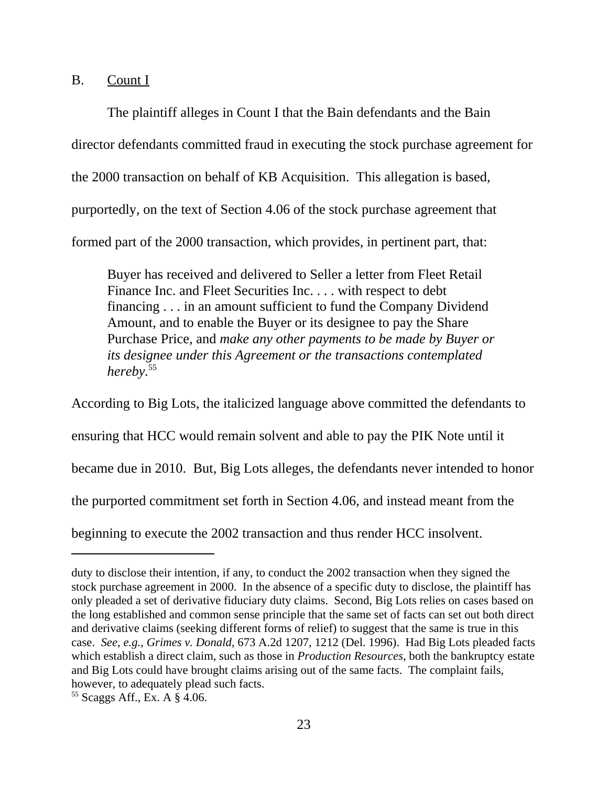B. Count I

The plaintiff alleges in Count I that the Bain defendants and the Bain director defendants committed fraud in executing the stock purchase agreement for the 2000 transaction on behalf of KB Acquisition. This allegation is based, purportedly, on the text of Section 4.06 of the stock purchase agreement that formed part of the 2000 transaction, which provides, in pertinent part, that:

Buyer has received and delivered to Seller a letter from Fleet Retail Finance Inc. and Fleet Securities Inc. . . . with respect to debt financing . . . in an amount sufficient to fund the Company Dividend Amount, and to enable the Buyer or its designee to pay the Share Purchase Price, and *make any other payments to be made by Buyer or its designee under this Agreement or the transactions contemplated hereby.*<sup>55</sup>

According to Big Lots, the italicized language above committed the defendants to ensuring that HCC would remain solvent and able to pay the PIK Note until it became due in 2010. But, Big Lots alleges, the defendants never intended to honor the purported commitment set forth in Section 4.06, and instead meant from the beginning to execute the 2002 transaction and thus render HCC insolvent.

duty to disclose their intention, if any, to conduct the 2002 transaction when they signed the stock purchase agreement in 2000. In the absence of a specific duty to disclose, the plaintiff has only pleaded a set of derivative fiduciary duty claims. Second, Big Lots relies on cases based on the long established and common sense principle that the same set of facts can set out both direct and derivative claims (seeking different forms of relief) to suggest that the same is true in this case. *See*, *e.g.*, *Grimes v. Donald*, 673 A.2d 1207, 1212 (Del. 1996). Had Big Lots pleaded facts which establish a direct claim, such as those in *Production Resources*, both the bankruptcy estate and Big Lots could have brought claims arising out of the same facts. The complaint fails, however, to adequately plead such facts.

<sup>55</sup> Scaggs Aff., Ex. A § 4.06.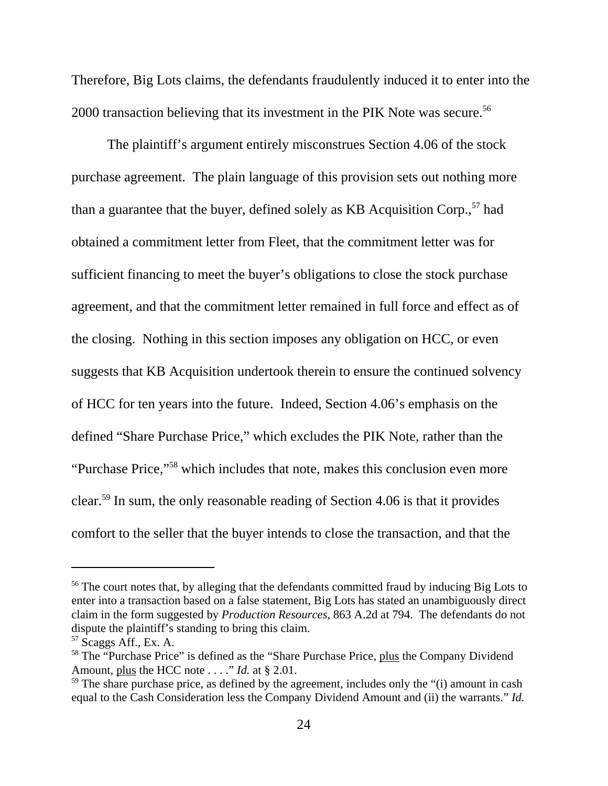Therefore, Big Lots claims, the defendants fraudulently induced it to enter into the 2000 transaction believing that its investment in the PIK Note was secure.<sup>56</sup>

The plaintiff's argument entirely misconstrues Section 4.06 of the stock purchase agreement. The plain language of this provision sets out nothing more than a guarantee that the buyer, defined solely as KB Acquisition Corp.,<sup>57</sup> had obtained a commitment letter from Fleet, that the commitment letter was for sufficient financing to meet the buyer's obligations to close the stock purchase agreement, and that the commitment letter remained in full force and effect as of the closing. Nothing in this section imposes any obligation on HCC, or even suggests that KB Acquisition undertook therein to ensure the continued solvency of HCC for ten years into the future. Indeed, Section 4.06's emphasis on the defined "Share Purchase Price," which excludes the PIK Note, rather than the "Purchase Price,"58 which includes that note, makes this conclusion even more clear.59 In sum, the only reasonable reading of Section 4.06 is that it provides comfort to the seller that the buyer intends to close the transaction, and that the

<sup>&</sup>lt;sup>56</sup> The court notes that, by alleging that the defendants committed fraud by inducing Big Lots to enter into a transaction based on a false statement, Big Lots has stated an unambiguously direct claim in the form suggested by *Production Resources*, 863 A.2d at 794. The defendants do not dispute the plaintiff's standing to bring this claim.

<sup>57</sup> Scaggs Aff., Ex. A.

<sup>&</sup>lt;sup>58</sup> The "Purchase Price" is defined as the "Share Purchase Price, plus the Company Dividend Amount, plus the HCC note . . . ." *Id.* at § 2.01.

 $59$  The share purchase price, as defined by the agreement, includes only the "(i) amount in cash equal to the Cash Consideration less the Company Dividend Amount and (ii) the warrants." *Id.*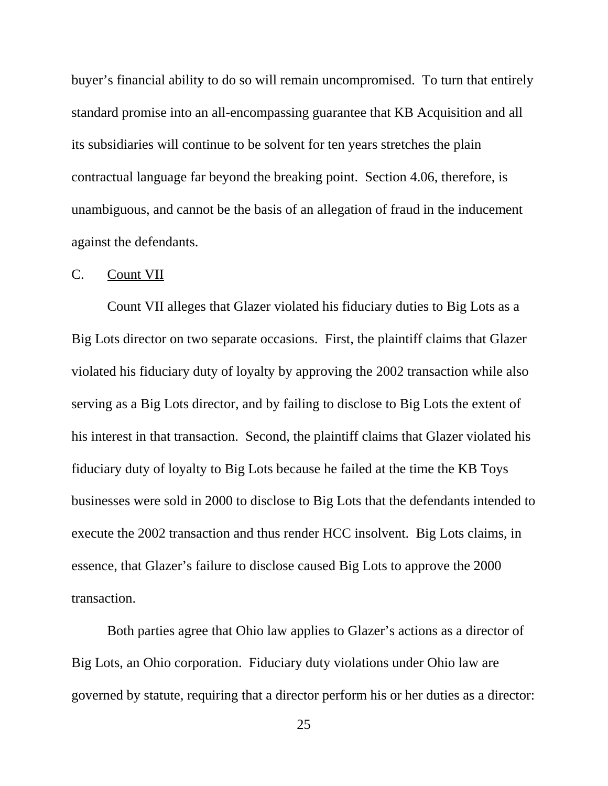buyer's financial ability to do so will remain uncompromised. To turn that entirely standard promise into an all-encompassing guarantee that KB Acquisition and all its subsidiaries will continue to be solvent for ten years stretches the plain contractual language far beyond the breaking point. Section 4.06, therefore, is unambiguous, and cannot be the basis of an allegation of fraud in the inducement against the defendants.

### C. Count VII

Count VII alleges that Glazer violated his fiduciary duties to Big Lots as a Big Lots director on two separate occasions. First, the plaintiff claims that Glazer violated his fiduciary duty of loyalty by approving the 2002 transaction while also serving as a Big Lots director, and by failing to disclose to Big Lots the extent of his interest in that transaction. Second, the plaintiff claims that Glazer violated his fiduciary duty of loyalty to Big Lots because he failed at the time the KB Toys businesses were sold in 2000 to disclose to Big Lots that the defendants intended to execute the 2002 transaction and thus render HCC insolvent. Big Lots claims, in essence, that Glazer's failure to disclose caused Big Lots to approve the 2000 transaction.

Both parties agree that Ohio law applies to Glazer's actions as a director of Big Lots, an Ohio corporation. Fiduciary duty violations under Ohio law are governed by statute, requiring that a director perform his or her duties as a director: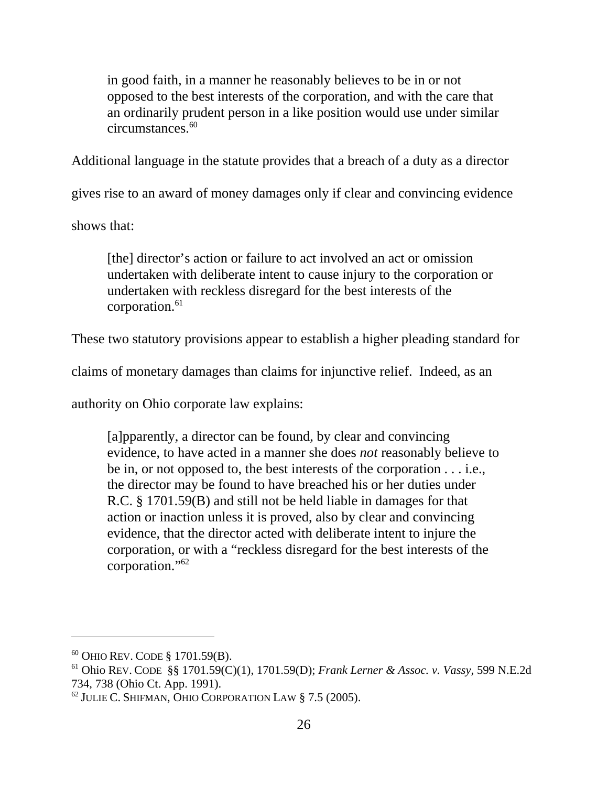in good faith, in a manner he reasonably believes to be in or not opposed to the best interests of the corporation, and with the care that an ordinarily prudent person in a like position would use under similar circumstances.<sup>60</sup>

Additional language in the statute provides that a breach of a duty as a director

gives rise to an award of money damages only if clear and convincing evidence

shows that:

[the] director's action or failure to act involved an act or omission undertaken with deliberate intent to cause injury to the corporation or undertaken with reckless disregard for the best interests of the corporation. $61$ 

These two statutory provisions appear to establish a higher pleading standard for

claims of monetary damages than claims for injunctive relief. Indeed, as an

authority on Ohio corporate law explains:

[a]pparently, a director can be found, by clear and convincing evidence, to have acted in a manner she does *not* reasonably believe to be in, or not opposed to, the best interests of the corporation . . . i.e., the director may be found to have breached his or her duties under R.C. § 1701.59(B) and still not be held liable in damages for that action or inaction unless it is proved, also by clear and convincing evidence, that the director acted with deliberate intent to injure the corporation, or with a "reckless disregard for the best interests of the corporation."62

<sup>60</sup> OHIO REV. CODE § 1701.59(B).

<sup>61</sup> Ohio REV. CODE §§ 1701.59(C)(1), 1701.59(D); *Frank Lerner & Assoc. v. Vassy,* 599 N.E.2d 734, 738 (Ohio Ct. App. 1991).

 $^{62}$  JULIE C. SHIFMAN, OHIO CORPORATION LAW § 7.5 (2005).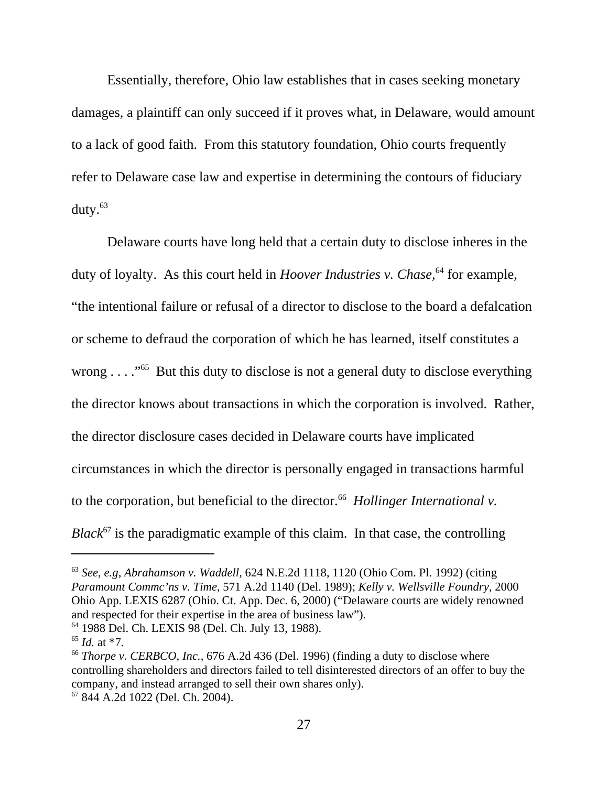Essentially, therefore, Ohio law establishes that in cases seeking monetary damages, a plaintiff can only succeed if it proves what, in Delaware, would amount to a lack of good faith. From this statutory foundation, Ohio courts frequently refer to Delaware case law and expertise in determining the contours of fiduciary duty.63

Delaware courts have long held that a certain duty to disclose inheres in the duty of loyalty. As this court held in *Hoover Industries v. Chase*,<sup>64</sup> for example, "the intentional failure or refusal of a director to disclose to the board a defalcation or scheme to defraud the corporation of which he has learned, itself constitutes a wrong  $\dots$  <sup>65</sup> But this duty to disclose is not a general duty to disclose everything the director knows about transactions in which the corporation is involved. Rather, the director disclosure cases decided in Delaware courts have implicated circumstances in which the director is personally engaged in transactions harmful to the corporation, but beneficial to the director.<sup>66</sup> *Hollinger International v. Black* $67$  is the paradigmatic example of this claim. In that case, the controlling

<sup>63</sup> *See, e.g, Abrahamson v. Waddell,* 624 N.E.2d 1118, 1120 (Ohio Com. Pl. 1992) (citing *Paramount Commc'ns v. Time,* 571 A.2d 1140 (Del. 1989); *Kelly v. Wellsville Foundry,* 2000 Ohio App. LEXIS 6287 (Ohio. Ct. App. Dec. 6, 2000) ("Delaware courts are widely renowned and respected for their expertise in the area of business law"). 64 1988 Del. Ch. LEXIS 98 (Del. Ch. July 13, 1988).

<sup>65</sup> *Id.* at \*7.

<sup>66</sup> *Thorpe v. CERBCO*, *Inc.,* 676 A.2d 436 (Del. 1996) (finding a duty to disclose where controlling shareholders and directors failed to tell disinterested directors of an offer to buy the company, and instead arranged to sell their own shares only).

<sup>67 844</sup> A.2d 1022 (Del. Ch. 2004).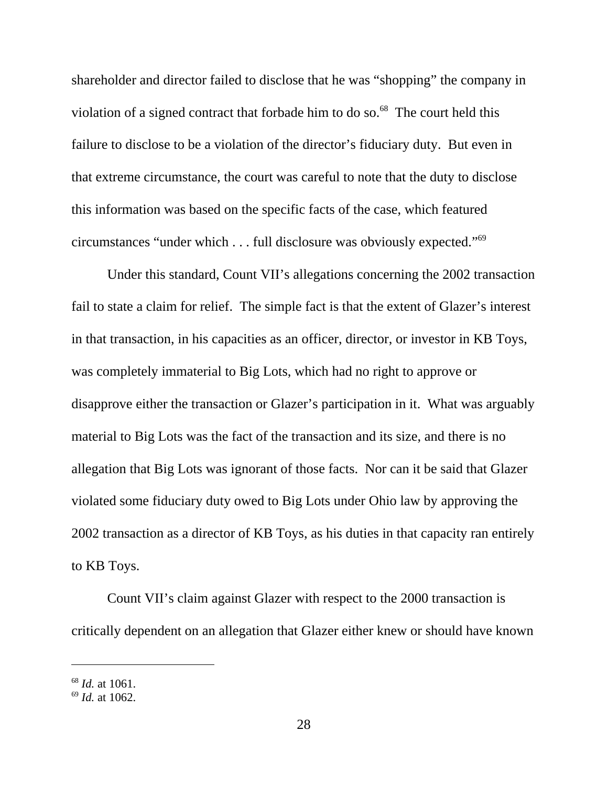shareholder and director failed to disclose that he was "shopping" the company in violation of a signed contract that forbade him to do so. $^{68}$  The court held this failure to disclose to be a violation of the director's fiduciary duty. But even in that extreme circumstance, the court was careful to note that the duty to disclose this information was based on the specific facts of the case, which featured circumstances "under which . . . full disclosure was obviously expected."69

Under this standard, Count VII's allegations concerning the 2002 transaction fail to state a claim for relief. The simple fact is that the extent of Glazer's interest in that transaction, in his capacities as an officer, director, or investor in KB Toys, was completely immaterial to Big Lots, which had no right to approve or disapprove either the transaction or Glazer's participation in it. What was arguably material to Big Lots was the fact of the transaction and its size, and there is no allegation that Big Lots was ignorant of those facts. Nor can it be said that Glazer violated some fiduciary duty owed to Big Lots under Ohio law by approving the 2002 transaction as a director of KB Toys, as his duties in that capacity ran entirely to KB Toys.

Count VII's claim against Glazer with respect to the 2000 transaction is critically dependent on an allegation that Glazer either knew or should have known

<sup>68</sup> *Id.* at 1061.

<sup>69</sup> *Id.* at 1062.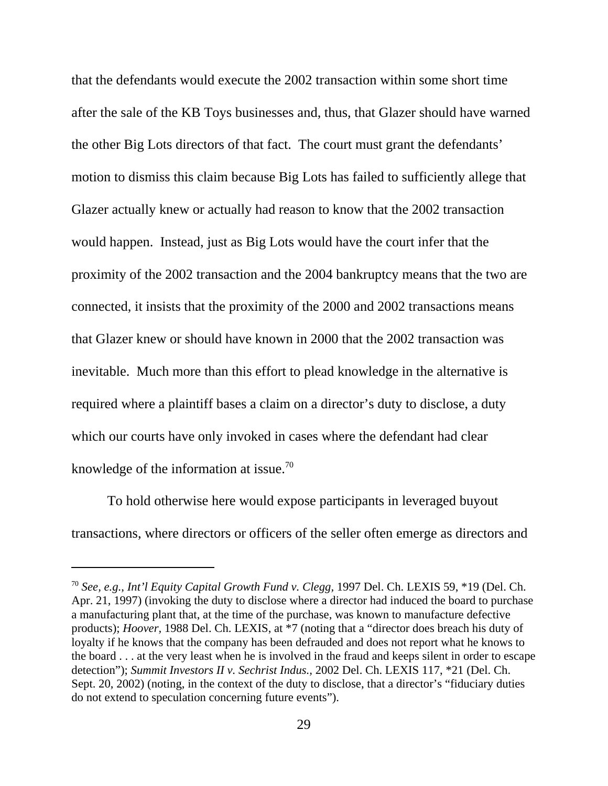that the defendants would execute the 2002 transaction within some short time after the sale of the KB Toys businesses and, thus, that Glazer should have warned the other Big Lots directors of that fact. The court must grant the defendants' motion to dismiss this claim because Big Lots has failed to sufficiently allege that Glazer actually knew or actually had reason to know that the 2002 transaction would happen. Instead, just as Big Lots would have the court infer that the proximity of the 2002 transaction and the 2004 bankruptcy means that the two are connected, it insists that the proximity of the 2000 and 2002 transactions means that Glazer knew or should have known in 2000 that the 2002 transaction was inevitable. Much more than this effort to plead knowledge in the alternative is required where a plaintiff bases a claim on a director's duty to disclose, a duty which our courts have only invoked in cases where the defendant had clear knowledge of the information at issue.<sup>70</sup>

To hold otherwise here would expose participants in leveraged buyout transactions, where directors or officers of the seller often emerge as directors and

<sup>70</sup> *See, e.g.*, *Int'l Equity Capital Growth Fund v. Clegg,* 1997 Del. Ch. LEXIS 59, \*19 (Del. Ch. Apr. 21, 1997) (invoking the duty to disclose where a director had induced the board to purchase a manufacturing plant that, at the time of the purchase, was known to manufacture defective products); *Hoover,* 1988 Del. Ch. LEXIS, at \*7 (noting that a "director does breach his duty of loyalty if he knows that the company has been defrauded and does not report what he knows to the board . . . at the very least when he is involved in the fraud and keeps silent in order to escape detection"); *Summit Investors II v. Sechrist Indus.,* 2002 Del. Ch. LEXIS 117, \*21 (Del. Ch. Sept. 20, 2002) (noting, in the context of the duty to disclose, that a director's "fiduciary duties do not extend to speculation concerning future events").